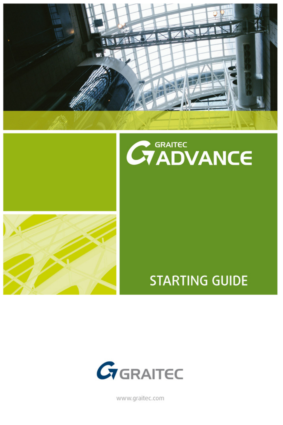





# **STARTING GUIDE**



www.graitec.com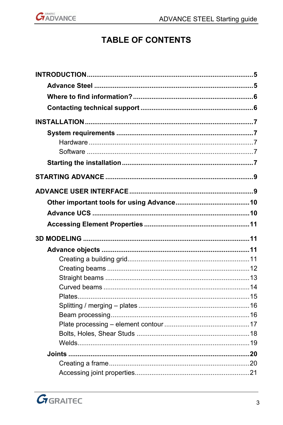

# **TABLE OF CONTENTS**

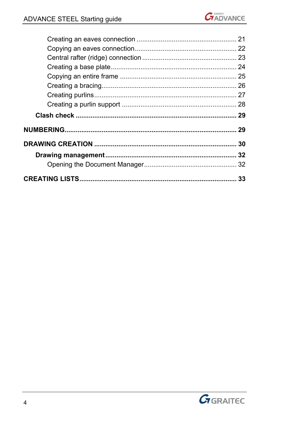

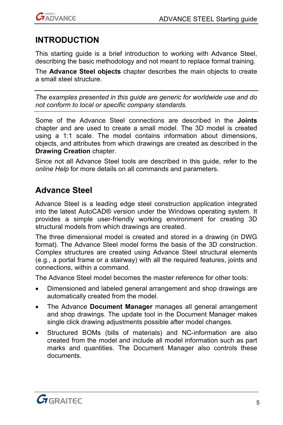<span id="page-4-0"></span>

# **INTRODUCTION**

This starting guide is a brief introduction to working with Advance Steel, describing the basic methodology and not meant to replace formal training.

The **Advance Steel objects** chapter describes the main objects to create a small steel structure.

*The examples presented in this guide are generic for worldwide use and do not conform to local or specific company standards.* 

Some of the Advance Steel connections are described in the **Joints** chapter and are used to create a small model. The 3D model is created using a 1:1 scale. The model contains information about dimensions, objects, and attributes from which drawings are created as described in the **Drawing Creation** chapter.

Since not all Advance Steel tools are described in this guide, refer to the *online Help* for more details on all commands and parameters.

# **Advance Steel**

Advance Steel is a leading edge steel construction application integrated into the latest AutoCAD® version under the Windows operating system. It provides a simple user-friendly working environment for creating 3D structural models from which drawings are created.

The three dimensional model is created and stored in a drawing (in DWG format). The Advance Steel model forms the basis of the 3D construction. Complex structures are created using Advance Steel structural elements (e.g., a portal frame or a stairway) with all the required features, joints and connections, within a command.

The Advance Steel model becomes the master reference for other tools:

- Dimensioned and labeled general arrangement and shop drawings are automatically created from the model.
- The Advance **Document Manager** manages all general arrangement and shop drawings. The update tool in the Document Manager makes single click drawing adjustments possible after model changes.
- Structured BOMs (bills of materials) and NC-information are also created from the model and include all model information such as part marks and quantities. The Document Manager also controls these documents.

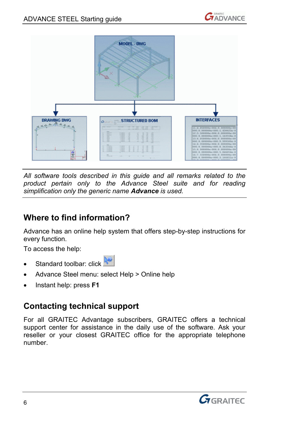

<span id="page-5-0"></span>

*All software tools described in this guide and all remarks related to the product pertain only to the Advance Steel suite and for reading simplification only the generic name Advance is used.* 

# **Where to find information?**

Advance has an online help system that offers step-by-step instructions for every function.

To access the help:

- Standard toolbar: click
- Advance Steel menu: select Help > Online help
- Instant help: press **F1**

# **Contacting technical support**

For all GRAITEC Advantage subscribers, GRAITEC offers a technical support center for assistance in the daily use of the software. Ask your reseller or your closest GRAITEC office for the appropriate telephone number.

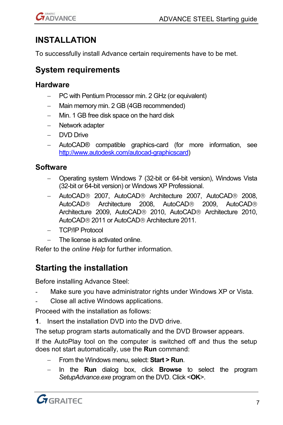# <span id="page-6-0"></span>**INSTALLATION**

To successfully install Advance certain requirements have to be met.

# **System requirements**

### **Hardware**

- − PC with Pentium Processor min. 2 GHz (or equivalent)
- − Main memory min. 2 GB (4GB recommended)
- − Min. 1 GB free disk space on the hard disk
- − Network adapter
- DVD Drive
- − AutoCAD® compatible graphics-card (for more information, see <http://www.autodesk.com/autocad-graphicscard>)

## **Software**

- − Operating system Windows 7 (32-bit or 64-bit version), Windows Vista (32-bit or 64-bit version) or Windows XP Professional.
- − AutoCAD® 2007, AutoCAD® Architecture 2007, AutoCAD® 2008, AutoCAD® Architecture 2008, AutoCAD® 2009, AutoCAD® Architecture 2009, AutoCAD® 2010, AutoCAD® Architecture 2010, AutoCAD® 2011 or AutoCAD® Architecture 2011.
- − TCP/IP Protocol
- The license is activated online.

Refer to the *online Help* for further information.

# **Starting the installation**

Before installing Advance Steel:

- Make sure you have administrator rights under Windows XP or Vista.
- Close all active Windows applications.

Proceed with the installation as follows:

**1**. Insert the installation DVD into the DVD drive.

The setup program starts automatically and the DVD Browser appears.

If the AutoPlay tool on the computer is switched off and thus the setup does not start automatically, use the **Run** command:

- − From the Windows menu, select: **Start > Run**.
- − In the **Run** dialog box, click **Browse** to select the program *SetupAdvance.exe* program on the DVD. Click <**OK**>.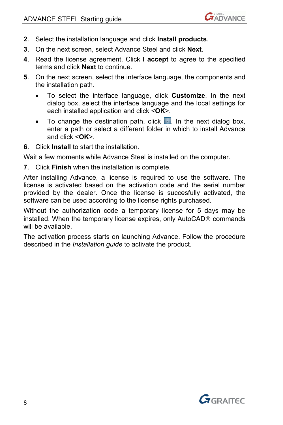

- **2**. Select the installation language and click **Install products**.
- **3**. On the next screen, select Advance Steel and click **Next**.
- **4**. Read the license agreement. Click **I accept** to agree to the specified terms and click **Next** to continue.
- **5**. On the next screen, select the interface language, the components and the installation path.
	- To select the interface language, click **Customize**. In the next dialog box, select the interface language and the local settings for each installed application and click <**OK**>.
	- To change the destination path, click  $\blacksquare$ . In the next dialog box, enter a path or select a different folder in which to install Advance and click <**OK**>.
- **6**. Click **Install** to start the installation.

Wait a few moments while Advance Steel is installed on the computer.

**7**. Click **Finish** when the installation is complete.

After installing Advance, a license is required to use the software. The license is activated based on the activation code and the serial number provided by the dealer. Once the license is succesfully activated, the software can be used according to the license rights purchased.

Without the authorization code a temporary license for 5 days may be installed. When the temporary license expires, only AutoCAD® commands will be available.

The activation process starts on launching Advance. Follow the procedure described in the *Installation guide* to activate the product.

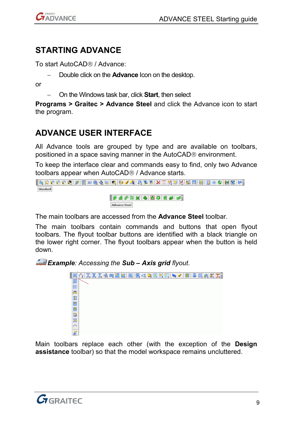<span id="page-8-0"></span>

# **STARTING ADVANCE**

To start AutoCAD® / Advance:

− Double click on the **Advance** Icon on the desktop.

or

− On the Windows task bar, click **Start**, then select

**Programs > Graitec > Advance Steel** and click the Advance icon to start the program.

# **ADVANCE USER INTERFACE**

All Advance tools are grouped by type and are available on toolbars, positioned in a space saving manner in the AutoCAD® environment.

To keep the interface clear and commands easy to find, only two Advance toolbars appear when AutoCAD® / Advance starts.

```
Standard
```

```
14 4 6 2 4 5 6 8 9 9 1
Advance Steel
```
The main toolbars are accessed from the **Advance Steel** toolbar.

The main toolbars contain commands and buttons that open flyout toolbars. The flyout toolbar buttons are identified with a black triangle on the lower right corner. The flyout toolbars appear when the button is held down.

*Example: Accessing the Sub – Axis grid flyout.* 



Main toolbars replace each other (with the exception of the **Design assistance** toolbar) so that the model workspace remains uncluttered.

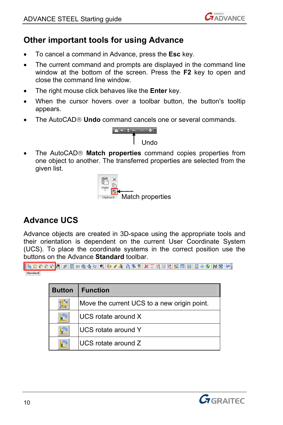# <span id="page-9-0"></span>**Other important tools for using Advance**

- To cancel a command in Advance, press the **Esc** key.
- The current command and prompts are displayed in the command line window at the bottom of the screen. Press the **F2** key to open and close the command line window.
- The right mouse click behaves like the **Enter** key.
- When the cursor hovers over a toolbar button, the button's tooltip appears.
- The AutoCAD® **Undo** command cancels one or several commands.



• The AutoCAD® **Match properties** command copies properties from one object to another. The transferred properties are selected from the given list.



# **Advance UCS**

Advance objects are created in 3D-space using the appropriate tools and their orientation is dependent on the current User Coordinate System (UCS). To place the coordinate systems in the correct position use the buttons on the Advance **Standard** toolbar.

```
||D$D$D$||2||2||Ex 4 %||2||2||2||2||2||X||I$||3||X||E||2||E*||2||NG||4||
Standard
```

| <b>Button</b> | <b>Function</b>                             |
|---------------|---------------------------------------------|
|               | Move the current UCS to a new origin point. |
|               | UCS rotate around X                         |
|               | UCS rotate around Y                         |
|               | UCS rotate around Z                         |

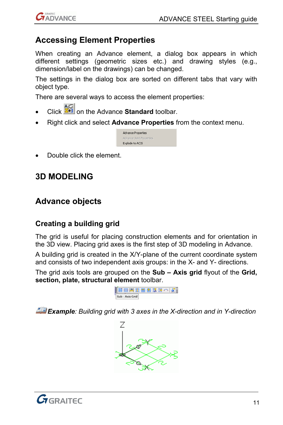<span id="page-10-0"></span>

# **Accessing Element Properties**

When creating an Advance element, a dialog box appears in which different settings (geometric sizes etc.) and drawing styles (e.g., dimension/label on the drawings) can be changed.

The settings in the dialog box are sorted on different tabs that vary with object type.

There are several ways to access the element properties:

- **Click 14** on the Advance **Standard** toolbar.
- Right click and select **Advance Properties** from the context menu.

| <b>Advance Properties</b> |
|---------------------------|
| Advance Joint Properties  |
| Explode to ACIS           |

• Double click the element.

# **3D MODELING**

# **Advance objects**

# **Creating a building grid**

The grid is useful for placing construction elements and for orientation in the 3D view. Placing grid axes is the first step of 3D modeling in Advance.

A building grid is created in the X/Y-plane of the current coordinate system and consists of two independent axis groups: in the X- and Y- directions.

The grid axis tools are grouped on the **Sub – Axis grid** flyout of the **Grid, section, plate, structural element** toolbar.



*Example: Building grid with 3 axes in the X-direction and in Y-direction* 



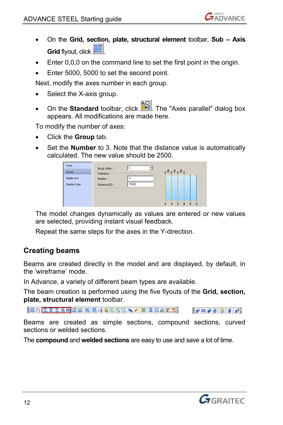

- <span id="page-11-0"></span>• On the **Grid, section, plate, structural element** toolbar, **Sub – Axis Grid** flyout, click **.....**
- Enter 0,0,0 on the command line to set the first point in the origin.
- Enter 5000, 5000 to set the second point.

Next, modify the axes number in each group.

- Select the X-axis group.
- On the **Standard** toolbar, click  $\frac{166}{100}$ . The "Axes parallel" dialog box appears. All modifications are made here.

To modify the number of axes:

- Click the **Group** tab.
- Set the **Number** to 3. Note that the distance value is automatically calculated. The new value should be 2500.

| Total        | Group index :<br>÷                 |
|--------------|------------------------------------|
| Group        | , D, D, D,<br>Definition           |
| Single axis  | з<br>Number:                       |
| Display type | <b>2500</b><br>Distance (D):       |
|              |                                    |
|              |                                    |
|              | 6<br>3<br>4<br>$\mathfrak{p}$<br>ĸ |

The model changes dynamically as values are entered or new values are selected, providing instant visual feedback.

Repeat the same steps for the axes in the Y-direction.

### **Creating beams**

Beams are created directly in the model and are displayed, by default, in the 'wireframe' mode.

In Advance, a variety of different beam types are available.

The beam creation is performed using the five flyouts of the **Grid, section, plate, structural element** toolbar.

▓₩<mark>△<mark>BIII&@</mark>UU(撚)BG◎©UZIN/|B|\$▒*6* Mill</mark>  $1/2/2$ 

Beams are created as simple sections, compound sections, curved sections or welded sections.

The **compound** and **welded sections** are easy to use and save a lot of time.

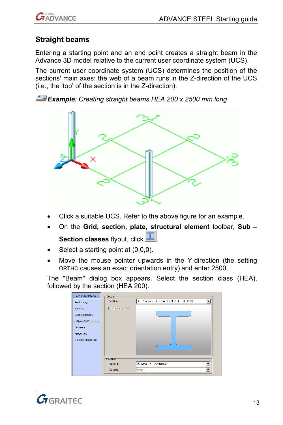<span id="page-12-0"></span>

### **Straight beams**

Entering a starting point and an end point creates a straight beam in the Advance 3D model relative to the current user coordinate system (UCS).

The current user coordinate system (UCS) determines the position of the sections' main axes: the web of a beam runs in the Z-direction of the UCS (i.e., the 'top' of the section is in the Z-direction).

*Example: Creating straight beams HEA 200 x 2500 mm long* 



- Click a suitable UCS. Refer to the above figure for an example.
- On the **Grid, section, plate, structural element** toolbar, **Sub**  Section classes flyout, click ...
- Select a starting point at (0,0,0).
- Move the mouse pointer upwards in the Y-direction (the setting ORTHO causes an exact orientation entry) and enter 2500.

The "Beam" dialog box appears. Select the section class (HEA), followed by the section (HEA 200).

| Section & Material | Section        |                                      |
|--------------------|----------------|--------------------------------------|
| Positioning        | Section        | > I Sections > HEA DIN 997 > HEA 200 |
| Naming             | Unwind profile |                                      |
| User attributes    |                |                                      |
| Display type       |                |                                      |
| Behavior           |                |                                      |
| Properties         |                |                                      |
| Camber properties  |                |                                      |
|                    |                |                                      |
|                    |                |                                      |
|                    | Material       |                                      |
|                    | Material       | ▶ Steel ▶ S235JRG2                   |
|                    | Coating        | None                                 |
|                    |                |                                      |

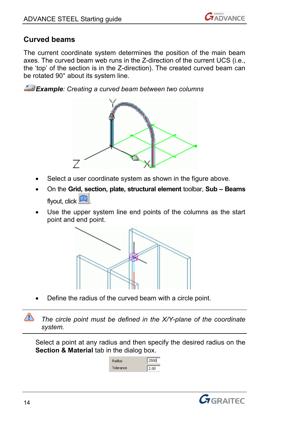

#### <span id="page-13-0"></span>**Curved beams**

The current coordinate system determines the position of the main beam axes. The curved beam web runs in the Z-direction of the current UCS (i.e., the 'top' of the section is in the Z-direction). The created curved beam can be rotated 90° about its system line.

*Example: Creating a curved beam between two columns* 



- Select a user coordinate system as shown in the figure above.
- On the **Grid, section, plate, structural element** toolbar, **Sub Beams** flyout, click
- Use the upper system line end points of the columns as the start point and end point.



• Define the radius of the curved beam with a circle point.

 *The circle point must be defined in the X/Y-plane of the coordinate system.* 

Select a point at any radius and then specify the desired radius on the **Section & Material** tab in the dialog box.



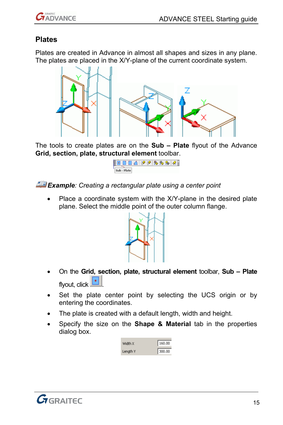<span id="page-14-0"></span>

#### **Plates**

Plates are created in Advance in almost all shapes and sizes in any plane. The plates are placed in the X/Y-plane of the current coordinate system.



The tools to create plates are on the **Sub – Plate** flyout of the Advance **Grid, section, plate, structural element** toolbar.



*Example: Creating a rectangular plate using a center point* 

Place a coordinate system with the X/Y-plane in the desired plate plane. Select the middle point of the outer column flange.



- On the **Grid, section, plate, structural element** toolbar, **Sub Plate** flyout, click
- Set the plate center point by selecting the UCS origin or by entering the coordinates.
- The plate is created with a default length, width and height.
- Specify the size on the **Shape & Material** tab in the properties dialog box.

| Width X  | 160.00 |
|----------|--------|
| Length Y | 300.00 |

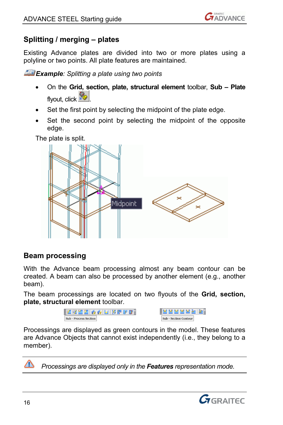# <span id="page-15-0"></span>**Splitting / merging – plates**

Existing Advance plates are divided into two or more plates using a polyline or two points. All plate features are maintained.

*Example: Splitting a plate using two points* 

- On the **Grid, section, plate, structural element** toolbar, **Sub Plate** flyout, click **...**
- Set the first point by selecting the midpoint of the plate edge.
- Set the second point by selecting the midpoint of the opposite edge.



#### The plate is split.

# **Beam processing**

With the Advance beam processing almost any beam contour can be created. A beam can also be processed by another element (e.g., another beam).

The beam processings are located on two flyouts of the **Grid, section, plate, structural element** toolbar.

```
\mathbb{E} \boxtimes \mathbb{E} \boxtimes \mathbb{E} \otimes \mathbb{E} \otimes \mathbb{E} \otimes \mathbb{E} \otimes \mathbb{E} \otimes \mathbb{E} \otimes \mathbb{E} \otimes \mathbb{E} \otimes \mathbb{E} \otimes \mathbb{E} \otimes \mathbb{E} \otimes \mathbb{E} \otimes \mathbb{E} \otimes \mathbb{E} \otimes \mathbb{E} \otimes \mathbb{E} \otimes \mathbb{E} \otimes \mathbb{E} \otimes \mathbb{E} \otimes \mathbb{E} \otimes \mathbb{E} \otimes \mathbb{E} \otimes \mathbb{Sub - Process Section
```

|  |  | oction Conto |  |  |
|--|--|--------------|--|--|

Processings are displayed as green contours in the model. These features are Advance Objects that cannot exist independently (i.e., they belong to a member).



 *Processings are displayed only in the Features representation mode.* 

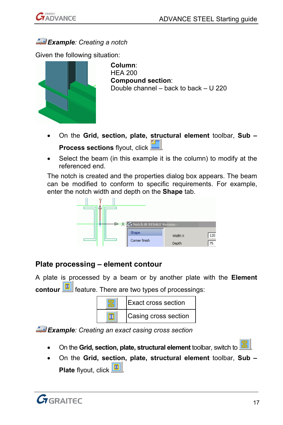<span id="page-16-0"></span>

#### *Example: Creating a notch*

Given the following situation:



**Column**: HEA 200 **Compound section**: Double channel – back to back – U 220

- On the **Grid, section, plate, structural element** toolbar, **Sub Process sections flyout, click.**
- Select the beam (in this example it is the column) to modify at the referenced end.

The notch is created and the properties dialog box appears. The beam can be modified to conform to specific requirements. For example, enter the notch width and depth on the **Shape** tab.



#### **Plate processing – element contour**

A plate is processed by a beam or by another plate with the **Element contour <b>F** feature. There are two types of processings:

| <b>Exact cross section</b> |
|----------------------------|
| Casing cross section       |

*Example: Creating an exact casing cross section* 

- On the Grid, section, plate, structural element toolbar, switch to **.25**
- On the **Grid, section, plate, structural element** toolbar, **Sub**  Plate flyout, click **D**

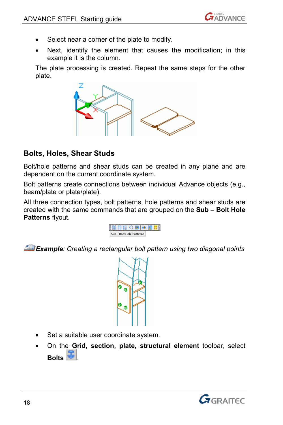- <span id="page-17-0"></span>• Select near a corner of the plate to modify.
- Next, identify the element that causes the modification; in this example it is the column.

The plate processing is created. Repeat the same steps for the other plate.



### **Bolts, Holes, Shear Studs**

Bolt/hole patterns and shear studs can be created in any plane and are dependent on the current coordinate system.

Bolt patterns create connections between individual Advance objects (e.g., beam/plate or plate/plate).

All three connection types, bolt patterns, hole patterns and shear studs are created with the same commands that are grouped on the **Sub – Bolt Hole Patterns** flyout.

|  |  | ■開開田の難●画品                |  |  |
|--|--|--------------------------|--|--|
|  |  | Sub - Bolt Hole Patterns |  |  |

**Example**: Creating a rectangular bolt pattern using two diagonal points



- Set a suitable user coordinate system.
- On the **Grid, section, plate, structural element** toolbar, select **Bolts** .

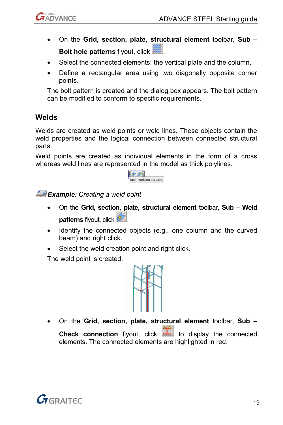<span id="page-18-0"></span>

- On the **Grid, section, plate, structural element** toolbar, **Sub Bolt hole patterns flyout, click ...**
- Select the connected elements: the vertical plate and the column.
- Define a rectangular area using two diagonally opposite corner points.

The bolt pattern is created and the dialog box appears. The bolt pattern can be modified to conform to specific requirements.

#### **Welds**

Welds are created as weld points or weld lines. These objects contain the weld properties and the logical connection between connected structural parts.

Weld points are created as individual elements in the form of a cross whereas weld lines are represented in the model as thick polylines.



*Example:* Creating a weld point

- On the **Grid, section, plate, structural element** toolbar, **Sub Weld patterns** flyout, click **b**
- Identify the connected objects (e.g., one column and the curved beam) and right click.
- Select the weld creation point and right click.

The weld point is created.



• On the **Grid, section, plate, structural element** toolbar, **Sub – Check connection** flyout, click **the display the connected** elements. The connected elements are highlighted in red.

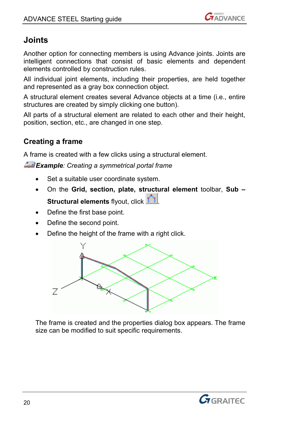

# <span id="page-19-0"></span>**Joints**

Another option for connecting members is using Advance joints. Joints are intelligent connections that consist of basic elements and dependent elements controlled by construction rules.

All individual joint elements, including their properties, are held together and represented as a gray box connection object.

A structural element creates several Advance objects at a time (i.e., entire structures are created by simply clicking one button).

All parts of a structural element are related to each other and their height, position, section, etc., are changed in one step.

# **Creating a frame**

A frame is created with a few clicks using a structural element.

*Example: Creating a symmetrical portal frame* 

- Set a suitable user coordinate system.
- On the **Grid, section, plate, structural element** toolbar, **Sub Structural elements** flyout, click 1
- Define the first base point.
- Define the second point.
- Define the height of the frame with a right click.



The frame is created and the properties dialog box appears. The frame size can be modified to suit specific requirements.

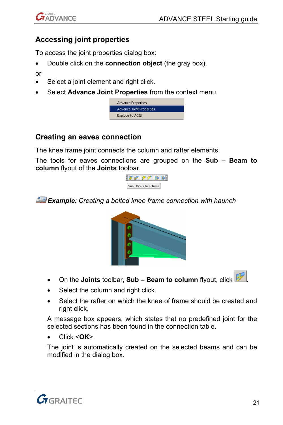<span id="page-20-0"></span>

# **Accessing joint properties**

To access the joint properties dialog box:

• Double click on the **connection object** (the gray box).

or

- Select a joint element and right click.
- Select **Advance Joint Properties** from the context menu.

| Advance Properties              |  |
|---------------------------------|--|
| <b>Advance Joint Properties</b> |  |
| Explode to ACIS                 |  |

#### **Creating an eaves connection**

The knee frame joint connects the column and rafter elements.

The tools for eaves connections are grouped on the **Sub – Beam to column** flyout of the **Joints** toolbar.



*Example: Creating a bolted knee frame connection with haunch* 



- On the **Joints** toolbar, Sub Beam to column flyout, click  $\mathbb{H}$
- Select the column and right click.
- Select the rafter on which the knee of frame should be created and right click.

A message box appears, which states that no predefined joint for the selected sections has been found in the connection table.

• Click <**OK**>.

The joint is automatically created on the selected beams and can be modified in the dialog box.

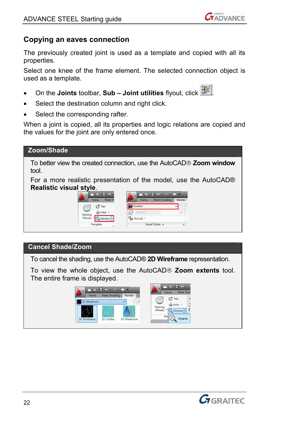### <span id="page-21-0"></span>**Copying an eaves connection**

The previously created joint is used as a template and copied with all its properties.

Select one knee of the frame element. The selected connection object is used as a template.

- On the **Joints** toolbar, **Sub Joint utilities** flyout, click .
- Select the destination column and right click.
- Select the corresponding rafter.

When a joint is copied, all its properties and logic relations are copied and the values for the joint are only entered once.

| Zoom/Shade                                                          |                                                                                                                                 |
|---------------------------------------------------------------------|---------------------------------------------------------------------------------------------------------------------------------|
| tool.                                                               | To better view the created connection, use the AutoCAD® <b>Zoom window</b>                                                      |
| <b>Realistic visual style.</b><br>3 P F 6<br>Mesh<br>Home<br>SS Pan | For a more realistic presentation of the model, use the AutoCAD®<br>◚<br>Home<br>Mesh Modeling<br>Render<br><b>At Realistic</b> |
| $\frac{1}{2}$ Orbit<br>Wheels<br>Window <sup>1</sup><br>Navigate    | Opacity<br>60<br>Normal -<br>Visual Styles -                                                                                    |

#### **Cancel Shade/Zoom**

To cancel the shading, use the AutoCAD® **2D Wireframe** representation.

To view the whole object, use the AutoCAD® **Zoom extents** tool. The entire frame is displayed.



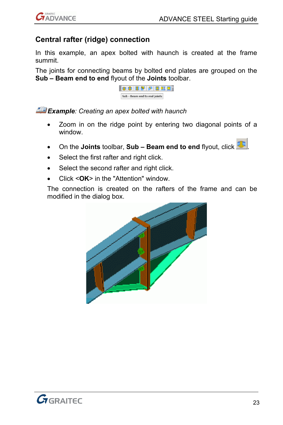<span id="page-22-0"></span>

# **Central rafter (ridge) connection**

In this example, an apex bolted with haunch is created at the frame summit.

The joints for connecting beams by bolted end plates are grouped on the **Sub – Beam end to end** flyout of the **Joints** toolbar.



*Example: Creating an apex bolted with haunch* 

- Zoom in on the ridge point by entering two diagonal points of a window.
- On the **Joints** toolbar, **Sub Beam end to end** flyout, click **...**
- Select the first rafter and right click.
- Select the second rafter and right click.
- Click <**OK**> in the "Attention" window.

The connection is created on the rafters of the frame and can be modified in the dialog box.



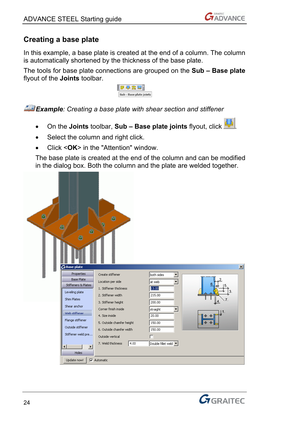### <span id="page-23-0"></span>**Creating a base plate**

In this example, a base plate is created at the end of a column. The column is automatically shortened by the thickness of the base plate.

The tools for base plate connections are grouped on the **Sub – Base plate** flyout of the **Joints** toolbar.



*Example: Creating a base plate with shear section and stiffener* 

- On the **Joints** toolbar, **Sub Base plate joints** flyout, click .
- Select the column and right click.
- Click <**OK**> in the "Attention" window.

The base plate is created at the end of the column and can be modified in the dialog box. Both the column and the plate are welded together.



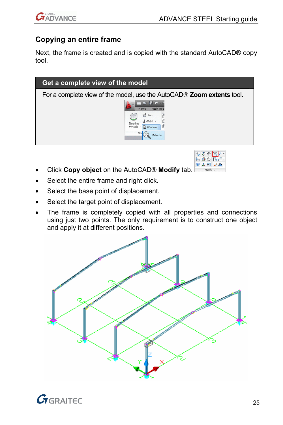<span id="page-24-0"></span>

**BADZA** 

### **Copying an entire frame**

Next, the frame is created and is copied with the standard AutoCAD® copy tool.



- Click **Copy object** on the AutoCAD® **Modify** tab.
- Select the entire frame and right click.
- Select the base point of displacement.
- Select the target point of displacement.
- The frame is completely copied with all properties and connections using just two points. The only requirement is to construct one object and apply it at different positions.



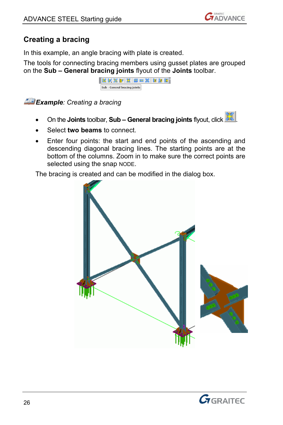# <span id="page-25-0"></span>**Creating a bracing**

In this example, an angle bracing with plate is created.

The tools for connecting bracing members using gusset plates are grouped on the **Sub – General bracing joints** flyout of the **Joints** toolbar.



*Example: Creating a bracing* 

- On the **Joints** toolbar, **Sub General bracing joints** flyout, click ...
- Select **two beams** to connect.
- Enter four points: the start and end points of the ascending and descending diagonal bracing lines. The starting points are at the bottom of the columns. Zoom in to make sure the correct points are selected using the snap NODE.

The bracing is created and can be modified in the dialog box.



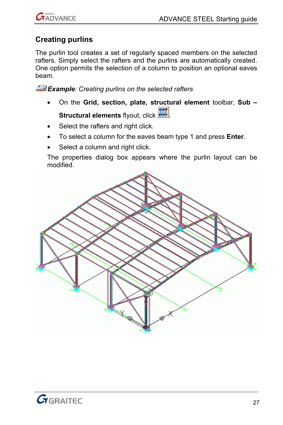<span id="page-26-0"></span>

### **Creating purlins**

The purlin tool creates a set of regularly spaced members on the selected rafters. Simply select the rafters and the purlins are automatically created. One option permits the selection of a column to position an optional eaves beam.

*Example: Creating purlins on the selected rafters* 

- On the **Grid, section, plate, structural element** toolbar, **Sub Structural elements** flyout, click **...**
- Select the rafters and right click.
- To select a column for the eaves beam type 1 and press **Enter**.
- Select a column and right click.

The properties dialog box appears where the purlin layout can be modified.

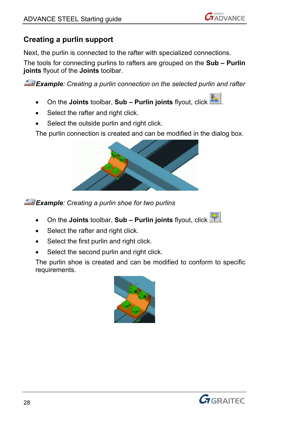## <span id="page-27-0"></span>**Creating a purlin support**

Next, the purlin is connected to the rafter with specialized connections.

The tools for connecting purlins to rafters are grouped on the **Sub – Purlin joints** flyout of the **Joints** toolbar.

**Example**: Creating a purlin connection on the selected purlin and rafter

- On the **Joints** toolbar, **Sub Purlin joints** flyout, click  $\frac{\mathbf{R}_{\mathbf{H}}}{\|\mathbf{R}\|}$
- Select the rafter and right click.
- Select the outside purlin and right click.

The purlin connection is created and can be modified in the dialog box.



*Example: Creating a purlin shoe for two purlins* 

- On the **Joints** toolbar, **Sub Purlin joints** flyout, click .
- Select the rafter and right click.
- Select the first purlin and right click.
- Select the second purlin and right click.

The purlin shoe is created and can be modified to conform to specific requirements.



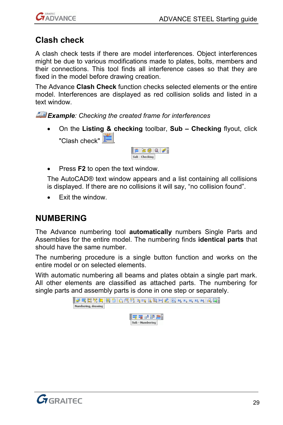<span id="page-28-0"></span>

# **Clash check**

A clash check tests if there are model interferences. Object interferences might be due to various modifications made to plates, bolts, members and their connections. This tool finds all interference cases so that they are fixed in the model before drawing creation.

The Advance **Clash Check** function checks selected elements or the entire model. Interferences are displayed as red collision solids and listed in a text window.

*Example: Checking the created frame for interferences* 

• On the **Listing & checking** toolbar, **Sub – Checking** flyout, click "Clash check"



• Press **F2** to open the text window.

The AutoCAD® text window appears and a list containing all collisions is displayed. If there are no collisions it will say, "no collision found".

• Exit the window.

# **NUMBERING**

The Advance numbering tool **automatically** numbers Single Parts and Assemblies for the entire model. The numbering finds **identical parts** that should have the same number.

The numbering procedure is a single button function and works on the entire model or on selected elements.

With automatic numbering all beams and plates obtain a single part mark. All other elements are classified as attached parts. The numbering for single parts and assembly parts is done in one step or separately.



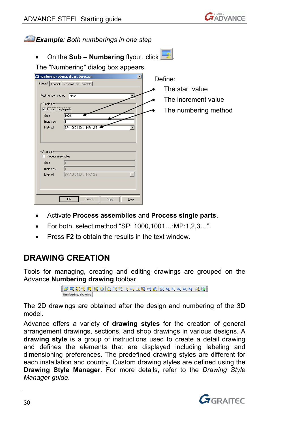<span id="page-29-0"></span>*Example: Both numberings in one step* 

On the **Sub – Numbering** flyout, click  $\frac{1}{2}$ 

The "Numbering" dialog box appears.

|                                   | Gy Numbering - Identical part detection            | $\vert x \vert$ | Define:              |
|-----------------------------------|----------------------------------------------------|-----------------|----------------------|
|                                   | General Special Standard Part Template             |                 |                      |
|                                   |                                                    |                 | The start value      |
| Post number method                | None                                               |                 | The increment value  |
| Single part                       |                                                    |                 |                      |
| ⊽<br>Process single parts         |                                                    |                 | The numbering method |
| Start                             | 1000                                               |                 |                      |
| Increment                         |                                                    |                 |                      |
| Method                            | SP: 1000,1001;MP:1,2,3<br>۰                        |                 |                      |
| Assembly:<br>F Process assemblies |                                                    |                 |                      |
| Start                             |                                                    |                 |                      |
| Increment                         |                                                    |                 |                      |
| Method                            | $\overline{\phantom{a}}$<br>SP: 1000,1001;MP:1,2,3 |                 |                      |
|                                   |                                                    |                 |                      |
|                                   |                                                    |                 |                      |
|                                   |                                                    |                 |                      |
|                                   | <b>DK</b><br>Cancel<br>Apply<br>Help               |                 |                      |

- Activate **Process assemblies** and **Process single parts**.
- For both, select method "SP: 1000,1001…;MP:1,2,3…".
- Press **F2** to obtain the results in the text window.

# **DRAWING CREATION**

Tools for managing, creating and editing drawings are grouped on the Advance **Numbering drawing** toolbar.

```
▌<del>ℐ</del>〒ᇙѷþ│照動△何爷たちは独出は│◎〃⋏×∧×│④喫▏
Numbering, drawing
```
The 2D drawings are obtained after the design and numbering of the 3D model.

Advance offers a variety of **drawing styles** for the creation of general arrangement drawings, sections, and shop drawings in various designs. A **drawing style** is a group of instructions used to create a detail drawing and defines the elements that are displayed including labeling and dimensioning preferences. The predefined drawing styles are different for each installation and country. Custom drawing styles are defined using the **Drawing Style Manager**. For more details, refer to the *Drawing Style Manager guide*.

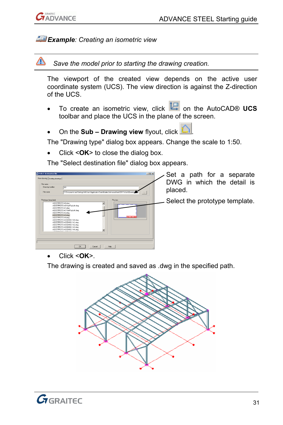

#### *Example: Creating an isometric view*

△  *Save the model prior to starting the drawing creation.* 

The viewport of the created view depends on the active user coordinate system (UCS). The view direction is against the Z-direction of the UCS.

- To create an isometric view, click **b** on the AutoCAD® UCS toolbar and place the UCS in the plane of the screen.
- On the **Sub Drawing view** flyout, click

The "Drawing type" dialog box appears. Change the scale to 1:50.

• Click <**OK**> to close the dialog box.

The "Select destination file" dialog box appears.



• Click <**OK**>.

The drawing is created and saved as .dwg in the specified path.



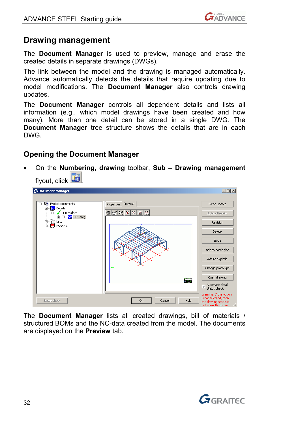

## <span id="page-31-0"></span>**Drawing management**

The **Document Manager** is used to preview, manage and erase the created details in separate drawings (DWGs).

The link between the model and the drawing is managed automatically. Advance automatically detects the details that require updating due to model modifications. The **Document Manager** also controls drawing updates.

The **Document Manager** controls all dependent details and lists all information (e.g., which model drawings have been created and how many). More than one detail can be stored in a single DWG. The **Document Manager** tree structure shows the details that are in each DWG.

#### **Opening the Document Manager**

• On the **Numbering, drawing** toolbar, **Sub – Drawing management** flyout, click **The** 



The **Document Manager** lists all created drawings, bill of materials / structured BOMs and the NC-data created from the model. The documents are displayed on the **Preview** tab.

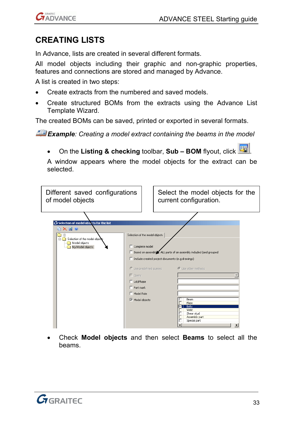<span id="page-32-0"></span>

# **CREATING LISTS**

In Advance, lists are created in several different formats.

All model objects including their graphic and non-graphic properties, features and connections are stored and managed by Advance.

A list is created in two steps:

- Create extracts from the numbered and saved models.
- Create structured BOMs from the extracts using the Advance List Template Wizard.

The created BOMs can be saved, printed or exported in several formats.

*Example: Creating a model extract containing the beams in the model* 

• On the **Listing & checking** toolbar, **Sub – BOM** flyout, click .

A window appears where the model objects for the extract can be selected.

| Different saved configurations<br>of model objects |                                       | Select the model objects for the<br>current configuration.       |
|----------------------------------------------------|---------------------------------------|------------------------------------------------------------------|
|                                                    |                                       |                                                                  |
|                                                    |                                       |                                                                  |
| Gy Selection of model objects for the list         |                                       |                                                                  |
| 0 K                                                |                                       |                                                                  |
| - H<br>Selection of the model object               | Selection of the model objects        |                                                                  |
| Model objects                                      |                                       |                                                                  |
| My Model objects                                   | Complete model                        |                                                                  |
|                                                    |                                       | Based on assembly ALL parts of an assembly included (and grouped |
|                                                    |                                       | Include created project documents (e.g drawings)                 |
|                                                    |                                       |                                                                  |
|                                                    | C Use predefined queries.             | C Use other methods                                              |
|                                                    | $\Gamma$ Ouerv                        |                                                                  |
|                                                    | $\Gamma$ Lot/Phase                    |                                                                  |
|                                                    | $\Gamma$ Part mark                    |                                                                  |
|                                                    | $\Box$ Model Role                     |                                                                  |
|                                                    | $\overline{\mathsf{v}}$ Model objects | Beam                                                             |
|                                                    |                                       | Plate                                                            |
|                                                    |                                       | Bolts<br>Weld                                                    |
|                                                    |                                       | Shear stud                                                       |
|                                                    |                                       | Assembly part<br>Special part                                    |
|                                                    |                                       | D                                                                |
|                                                    |                                       |                                                                  |

• Check **Model objects** and then select **Beams** to select all the beams.

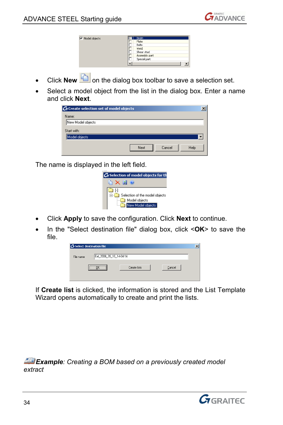

| Model objects | Beam          |
|---------------|---------------|
|               | Plate         |
|               | Bolts         |
|               | Weld          |
|               | Shear stud    |
|               | Assembly part |
|               | Special part  |
|               |               |

- Click **New <b>C** on the dialog box toolbar to save a selection set.
- Select a model object from the list in the dialog box. Enter a name and click **Next**.

| $G$ Create selection set of model objects |      |        |      |
|-------------------------------------------|------|--------|------|
| Name:                                     |      |        |      |
| New Model objects                         |      |        |      |
| Start with:                               |      |        |      |
| Model objects                             |      |        |      |
|                                           | Next | Cancel | Help |

The name is displayed in the left field.

| G Selection of model objects for th |
|-------------------------------------|
|                                     |
|                                     |
| Selection of the model objects      |
| Model objects                       |
| New Model objects                   |

- Click **Apply** to save the configuration. Click **Next** to continue.
- In the "Select destination file" dialog box, click <**OK**> to save the file.

| Create lists              | Cancel                  |
|---------------------------|-------------------------|
| G Select destination file | Ext_2008_09_10_14-04-14 |

If **Create list** is clicked, the information is stored and the List Template Wizard opens automatically to create and print the lists.

*Example: Creating a BOM based on a previously created model extract* 

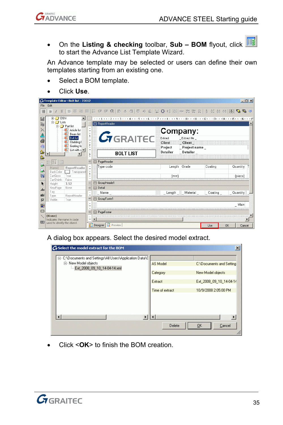

• On the **Listing & checking** toolbar, **Sub – BOM** flyout, click to start the Advance List Template Wizard.

An Advance template may be selected or users can define their own templates starting from an existing one.

- Select a BOM template.
- Click **Use**.

|             |                                   | G Template Editor: Bolt list - 22012                        |                     |                                                                                              |                                     |                                               |         | $   x$              |
|-------------|-----------------------------------|-------------------------------------------------------------|---------------------|----------------------------------------------------------------------------------------------|-------------------------------------|-----------------------------------------------|---------|---------------------|
| File:       | Edit                              |                                                             |                     |                                                                                              |                                     |                                               |         |                     |
| 冊           | $\mathbf{B}$                      |                                                             |                     | Ⅱ   글 글 글   ⊟ - 로 로 후     □ 수 - 리 l ㅠ - + - 미   규 章 11 - 33   ∞ - 23 # # +   상 참 하   图   Q B |                                     |                                               |         | $\alpha$            |
|             | <b>ED</b> DSM<br><b>E-P</b> Lists | 白 <b>门</b> Part list<br>Article list                        |                     | . 1 2 3 4 5 6 7 8 9 10 11 12 13 14 15 15 17<br>Fi ReportHeader                               |                                     | Company:                                      |         |                     |
| A<br>e<br>Ġ |                                   | Beam list<br><b>Bolt</b> list<br>Cladding I<br>Graiting lis | 2                   | <b><i>C</i></b> GRAITEC                                                                      | Extract<br><b>Client</b><br>Project | Extract file<br><b>Client</b><br>Project name |         |                     |
| A<br>Â      |                                   | List with c =<br>$\mathbf{r}$                               | 3                   | <b>BOLT LIST</b>                                                                             | Detailer                            | Detailer                                      |         |                     |
|             | $21 -$                            |                                                             | 日                   | PageHeader                                                                                   |                                     |                                               |         |                     |
| ۵Ñ<br>g.    | (Name)<br><b>BackColor</b>        | ReportHeader<br>Transparen                                  |                     | Type code                                                                                    | Lenath                              | Grade                                         | Coating | Quantity            |
| 匷           | CanGrow                           | True                                                        | 1                   |                                                                                              | (mm                                 |                                               |         | (piece)             |
|             | CanShrink                         | Ealse                                                       |                     | 日 GroupHeade1                                                                                |                                     |                                               |         |                     |
| ĸ           | Height                            | 3.52                                                        |                     |                                                                                              |                                     |                                               |         |                     |
| $A\alpha$   | NewPage<br>Tag                    | None                                                        | 冃                   | Detail                                                                                       |                                     |                                               |         |                     |
| abl         | Type                              | ReportHeader                                                |                     | Name                                                                                         | Length _ Material _ Coating         |                                               |         | Quantity            |
| σ           | Visible                           | True                                                        |                     | □ GroupFoote1                                                                                |                                     |                                               |         |                     |
| g.          |                                   |                                                             |                     |                                                                                              |                                     |                                               |         | Main                |
| $\Box$      |                                   |                                                             | 12121               |                                                                                              |                                     |                                               |         |                     |
|             | (Name)                            |                                                             |                     | <b>□ PageFooter</b>                                                                          |                                     |                                               |         |                     |
|             | Indicates the name in onde        |                                                             | $\blacksquare$<br>÷ |                                                                                              |                                     |                                               |         |                     |
| 而           | used to identify the object.      |                                                             |                     | <b>Q</b> Preview<br>Designer                                                                 |                                     |                                               | Use     | <b>DK</b><br>Cancel |

A dialog box appears. Select the desired model extract.

| E- C:\Documents and Settings\All Users\Application Data\C |                 |                          |  |
|-----------------------------------------------------------|-----------------|--------------------------|--|
| - New Model objects<br>Ext 2008 09 10 14-04-14.xml        | AS Model        | C:\Documents and Setting |  |
|                                                           | Category        | New Model objects        |  |
|                                                           | Extract         | Ext 2008 09 10 14-04-14  |  |
|                                                           | Time of extract | 10/9/2008 2:05:00 PM     |  |
| $\ddot{\phantom{1}}$                                      |                 | $\ddot{\phantom{1}}$     |  |
|                                                           | Delete          | Cancel<br><b>DK</b>      |  |

• Click <**OK**> to finish the BOM creation.

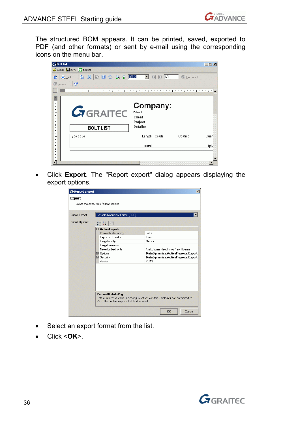

The structured BOM appears. It can be printed, saved, exported to PDF (and other formats) or sent by e-mail using the corresponding icons on the menu bar.

| <b>G.Bolt</b> list                                                       | $  D $ $\times$ |
|--------------------------------------------------------------------------|-----------------|
| Open Save A Export                                                       |                 |
| G BEIN Q A B B C & 1002 1 0 0 17 6 Backward                              |                 |
| $\overline{a}$<br><b>Forward</b>                                         |                 |
|                                                                          |                 |
|                                                                          |                 |
| ×,<br>Company:<br>٠                                                      |                 |
| <b><i>G</i></b> GRAITEC<br>$\overline{\phantom{a}}$<br>Extract<br>$\sim$ |                 |
| $\overline{\phantom{a}}$<br>Client<br>٠                                  |                 |
| Project<br>٠<br>$\mathbf{1}$<br><b>Detailer</b><br>٠                     |                 |
| <b>BOLT LIST</b><br>$\sim$<br>٠                                          |                 |
| Type code<br>Lenath Grade<br>Coating<br>۰<br>$\overline{\phantom{a}}$    | Quan            |
| $\sim$<br>(mm)<br>٠                                                      | (pie            |
| $\overline{c}$<br>ä,                                                     |                 |
| ٠<br>$\sim$                                                              |                 |
| a                                                                        |                 |

• Click **Export**. The "Report export" dialog appears displaying the export options.

| Export Format          | Select the export file format options<br>Portable Document Format (PDF)                                                                                  |                                                                                                                                                       |
|------------------------|----------------------------------------------------------------------------------------------------------------------------------------------------------|-------------------------------------------------------------------------------------------------------------------------------------------------------|
| <b>Export Options:</b> | SE 2니 크                                                                                                                                                  |                                                                                                                                                       |
|                        | □ ActiveReports<br>ConvertMetaToPng<br>ExportBookmarks<br>ImageQuality<br>ImageResolution<br>NeverFmberFonts<br><b>El</b> Options<br>Security<br>Version | False<br>True<br>Medium<br>n<br>Arial:Courier New:Times New Roman<br>DataDynamics.ActiveReports.Export<br>DataDynamics.ActiveReports.Export.<br>Pdf13 |
|                        | <b>ConvertMetaToPng</b><br>PNG files in the exported PDF document                                                                                        | Sets or returns a value indicating whether Windows metafiles are converted to<br>Cancel<br><b>DK</b>                                                  |

- Select an export format from the list.
- Click <**OK**>.

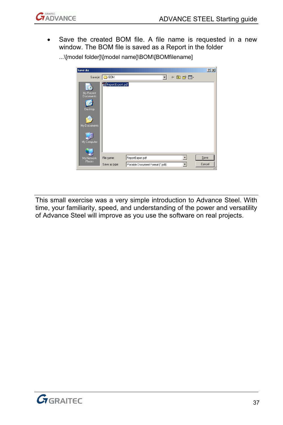

• Save the created BOM file. A file name is requested in a new window. The BOM file is saved as a Report in the folder

...\[model folder]\[model name]\BOM\[BOMfilename]

| Save As                       |                       |                                  |   |                          | $2 \times$ |
|-------------------------------|-----------------------|----------------------------------|---|--------------------------|------------|
|                               | Save in: <b>C BOM</b> |                                  | ۰ | 十自合国                     |            |
| My Recent<br><b>Documents</b> | ReportExport.pdf      |                                  |   |                          |            |
| Desktop                       |                       |                                  |   |                          |            |
| My Documents                  |                       |                                  |   |                          |            |
| My Computer                   |                       |                                  |   |                          |            |
|                               |                       |                                  |   |                          |            |
| My Network<br>Places          | File name:            | ReportExport.pdf                 |   |                          | Save       |
|                               | Save as type:         | Portable Document Format [".pdf] |   | $\overline{\phantom{a}}$ | Cancel     |

This small exercise was a very simple introduction to Advance Steel. With time, your familiarity, speed, and understanding of the power and versatility of Advance Steel will improve as you use the software on real projects.